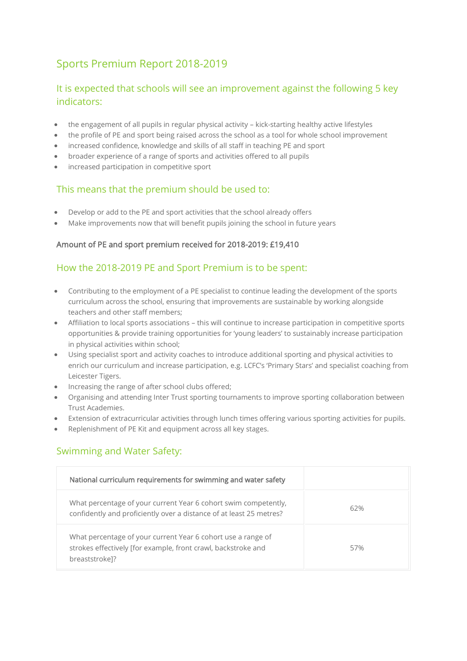# Sports Premium Report 2018-2019

## It is expected that schools will see an improvement against the following 5 key indicators:

- the engagement of all pupils in regular physical activity kick-starting healthy active lifestyles
- the profile of PE and sport being raised across the school as a tool for whole school improvement
- increased confidence, knowledge and skills of all staff in teaching PE and sport
- broader experience of a range of sports and activities offered to all pupils
- increased participation in competitive sport

## This means that the premium should be used to:

- Develop or add to the PE and sport activities that the school already offers
- Make improvements now that will benefit pupils joining the school in future years

#### Amount of PE and sport premium received for 2018-2019: £19,410

## How the 2018-2019 PE and Sport Premium is to be spent:

- Contributing to the employment of a PE specialist to continue leading the development of the sports curriculum across the school, ensuring that improvements are sustainable by working alongside teachers and other staff members;
- Affiliation to local sports associations this will continue to increase participation in competitive sports opportunities & provide training opportunities for 'young leaders' to sustainably increase participation in physical activities within school;
- Using specialist sport and activity coaches to introduce additional sporting and physical activities to enrich our curriculum and increase participation, e.g. LCFC's 'Primary Stars' and specialist coaching from Leicester Tigers.
- Increasing the range of after school clubs offered;
- Organising and attending Inter Trust sporting tournaments to improve sporting collaboration between Trust Academies.
- Extension of extracurricular activities through lunch times offering various sporting activities for pupils.
- Replenishment of PE Kit and equipment across all key stages.

## Swimming and Water Safety:

| National curriculum requirements for swimming and water safety                                                                                  |     |
|-------------------------------------------------------------------------------------------------------------------------------------------------|-----|
| What percentage of your current Year 6 cohort swim competently,<br>confidently and proficiently over a distance of at least 25 metres?          | 62% |
| What percentage of your current Year 6 cohort use a range of<br>strokes effectively [for example, front crawl, backstroke and<br>breaststroke]? | 57% |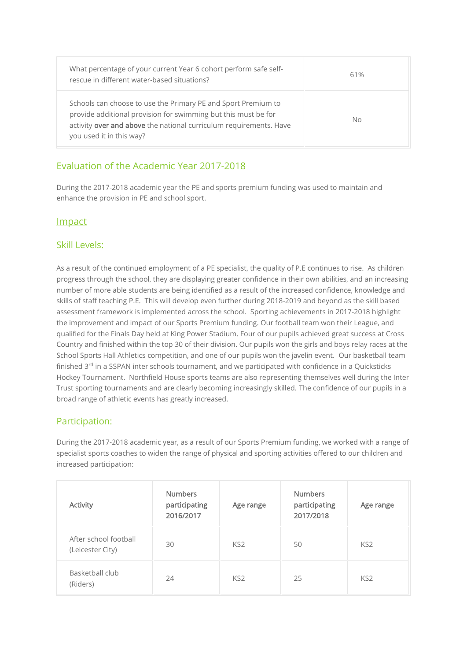| What percentage of your current Year 6 cohort perform safe self-<br>rescue in different water-based situations?                                                                                                                   | 61% |
|-----------------------------------------------------------------------------------------------------------------------------------------------------------------------------------------------------------------------------------|-----|
| Schools can choose to use the Primary PE and Sport Premium to<br>provide additional provision for swimming but this must be for<br>activity over and above the national curriculum requirements. Have<br>you used it in this way? | No. |

## Evaluation of the Academic Year 2017-2018

During the 2017-2018 academic year the PE and sports premium funding was used to maintain and enhance the provision in PE and school sport.

#### Impact

#### Skill Levels:

As a result of the continued employment of a PE specialist, the quality of P.E continues to rise. As children progress through the school, they are displaying greater confidence in their own abilities, and an increasing number of more able students are being identified as a result of the increased confidence, knowledge and skills of staff teaching P.E. This will develop even further during 2018-2019 and beyond as the skill based assessment framework is implemented across the school. Sporting achievements in 2017-2018 highlight the improvement and impact of our Sports Premium funding. Our football team won their League, and qualified for the Finals Day held at King Power Stadium. Four of our pupils achieved great success at Cross Country and finished within the top 30 of their division. Our pupils won the girls and boys relay races at the School Sports Hall Athletics competition, and one of our pupils won the javelin event. Our basketball team finished 3<sup>rd</sup> in a SSPAN inter schools tournament, and we participated with confidence in a Quicksticks Hockey Tournament. Northfield House sports teams are also representing themselves well during the Inter Trust sporting tournaments and are clearly becoming increasingly skilled. The confidence of our pupils in a broad range of athletic events has greatly increased.

### Participation:

During the 2017-2018 academic year, as a result of our Sports Premium funding, we worked with a range of specialist sports coaches to widen the range of physical and sporting activities offered to our children and increased participation:

| <b>Activity</b>                           | <b>Numbers</b><br>participating<br>2016/2017 | Age range       | <b>Numbers</b><br>participating<br>2017/2018 | Age range       |
|-------------------------------------------|----------------------------------------------|-----------------|----------------------------------------------|-----------------|
| After school football<br>(Leicester City) | 30                                           | KS <sub>2</sub> | 50                                           | KS <sub>2</sub> |
| Basketball club<br>(Riders)               | 24                                           | KS <sub>2</sub> | 25                                           | KS <sub>2</sub> |